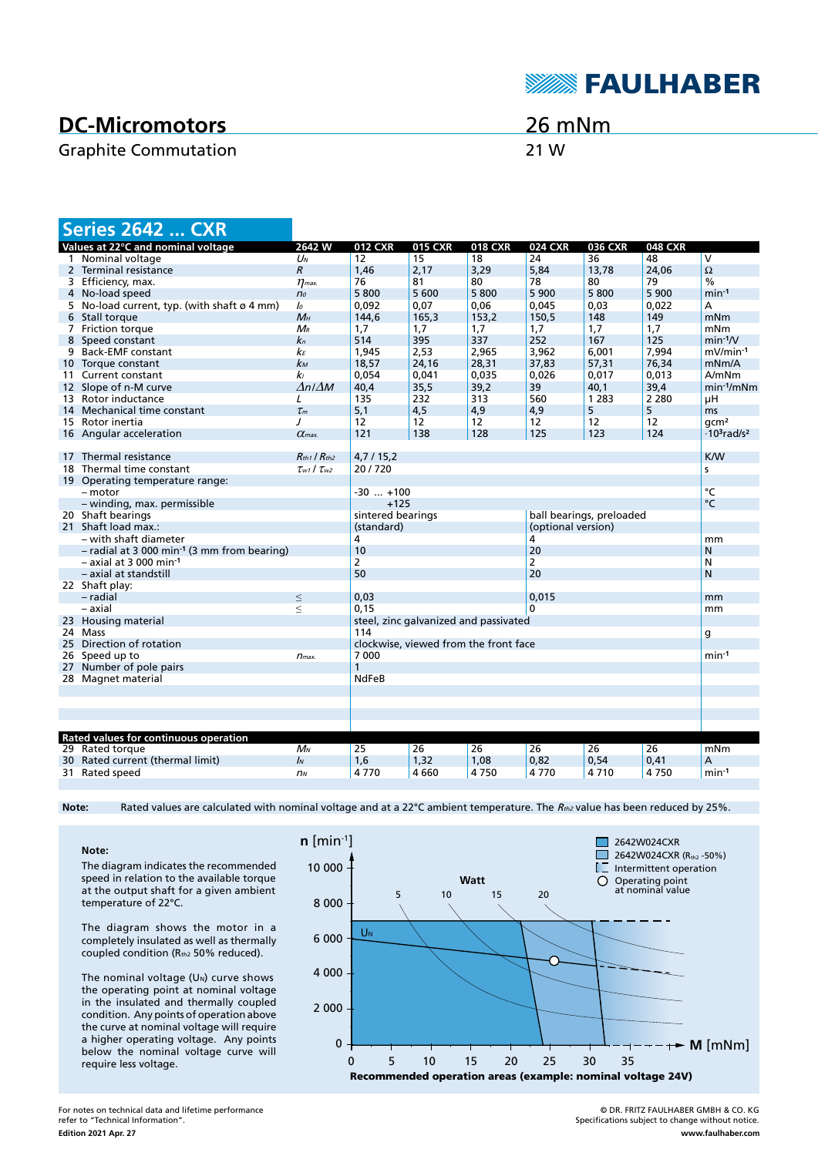## **DC-Micromotors**

### Graphite Commutation 21 W

26 mNm

**SEAULHABER** 

|    | <b>Series 2642  CXR</b>                                   |                                       |                                               |                |                |                    |                |                |                                            |
|----|-----------------------------------------------------------|---------------------------------------|-----------------------------------------------|----------------|----------------|--------------------|----------------|----------------|--------------------------------------------|
|    | Values at 22°C and nominal voltage                        | 2642 W                                | <b>012 CXR</b>                                | <b>015 CXR</b> | <b>018 CXR</b> | <b>024 CXR</b>     | <b>036 CXR</b> | <b>048 CXR</b> |                                            |
|    | 1 Nominal voltage                                         | $U_N$                                 | 12                                            | 15             | 18             | 24                 | 36             | 48             | $\overline{\mathsf{v}}$                    |
|    | 2 Terminal resistance                                     | $\mathcal{R}$                         | 1,46                                          | 2,17           | 3,29           | 5,84               | 13,78          | 24.06          | $\Omega$                                   |
|    | 3 Efficiency, max.                                        | $\eta$ <sub>max</sub> .               | 76                                            | 81             | 80             | 78                 | 80             | 79             | $\frac{0}{0}$                              |
|    | 4 No-load speed                                           | n <sub>o</sub>                        | 5800                                          | 5 600          | 5800           | 5 900              | 5800           | 5 900          | $min-1$                                    |
|    | 5 No-load current, typ. (with shaft $\varnothing$ 4 mm)   | $\mathcal{L}$                         | 0,092                                         | 0,07           | 0,06           | 0,045              | 0,03           | 0,022          | А                                          |
|    | 6 Stall torque                                            | $M_H$                                 | 144,6                                         | 165,3          | 153,2          | 150,5              | 148            | 149            | mNm                                        |
|    | 7 Friction torque                                         | $M_R$                                 | 1,7                                           | 1,7            | 1,7            | 1,7                | 1,7            | 1,7            | mNm                                        |
|    | 8 Speed constant                                          | $k_n$                                 | 514                                           | 395            | 337            | 252                | 167            | 125            | $min-1/V$                                  |
|    | 9 Back-EMF constant                                       | kЕ                                    | 1,945                                         | 2,53           | 2,965          | 3,962              | 6,001          | 7,994          | $mV/min-1$                                 |
|    | 10 Torque constant                                        | $k_{M}$                               | 18,57                                         | 24,16          | 28,31          | 37,83              | 57,31          | 76,34          | mNm/A                                      |
|    | 11 Current constant                                       | kı                                    | 0.054                                         | 0.041          | 0.035          | 0.026              | 0.017          | 0.013          | A/mNm                                      |
|    | 12 Slope of n-M curve                                     | $\Delta n / \Delta M$                 | 40,4                                          | 35,5           | 39,2           | 39                 | 40,1           | 39,4           | $min-1/mNm$                                |
| 13 | Rotor inductance                                          | L                                     | 135                                           | 232            | 313            | 560                | 1 2 8 3        | 2 2 8 0        | μH                                         |
| 14 | Mechanical time constant                                  | $\tau_m$                              | 5,1                                           | 4,5            | 4,9            | 4,9                | 5              | 5              | ms                                         |
|    | 15 Rotor inertia                                          | J                                     | 12                                            | 12             | 12             | 12                 | 12             | 12             | qcm <sup>2</sup>                           |
|    | 16 Angular acceleration                                   | $\alpha$ <sub>max</sub>               | 121                                           | 138            | 128            | 125                | 123            | 124            | $\cdot$ 10 <sup>3</sup> rad/s <sup>2</sup> |
|    |                                                           |                                       |                                               |                |                |                    |                |                |                                            |
|    | 17 Thermal resistance                                     | $R_{th1}$ / $R_{th2}$                 | 4,7/15,2                                      |                |                |                    |                |                | <b>K/W</b>                                 |
|    | 18 Thermal time constant                                  | $\tau_{w1}$ / $\tau_{w2}$             | 20/720<br>s                                   |                |                |                    |                |                |                                            |
|    | 19 Operating temperature range:                           |                                       |                                               |                |                |                    |                |                |                                            |
|    | - motor                                                   |                                       | $-30$ $+100$                                  |                |                |                    |                | $\overline{C}$ |                                            |
|    | - winding, max. permissible                               |                                       | $+125$                                        |                |                |                    |                | $\circ$ C      |                                            |
|    | 20 Shaft bearings                                         |                                       | sintered bearings<br>ball bearings, preloaded |                |                |                    |                |                |                                            |
|    | 21 Shaft load max.:                                       |                                       | (standard)                                    |                |                | (optional version) |                |                |                                            |
|    | – with shaft diameter                                     |                                       | 4                                             |                |                | 4                  |                |                | mm                                         |
|    | $-$ radial at 3 000 min <sup>-1</sup> (3 mm from bearing) |                                       | 10                                            |                |                | 20                 |                |                | N                                          |
|    | $-$ axial at 3 000 min <sup>-1</sup>                      |                                       | $\overline{2}$                                |                |                | $\overline{2}$     |                |                | N                                          |
|    | - axial at standstill                                     |                                       | 50                                            |                |                | 20                 |                |                | N                                          |
|    | 22 Shaft play:                                            |                                       |                                               |                |                |                    |                |                |                                            |
|    | - radial                                                  | $\leq$                                | 0,03                                          |                |                | 0.015              |                |                | mm                                         |
|    | – axial                                                   | $\leq$                                | 0, 15                                         |                |                | $\Omega$           |                |                | mm                                         |
|    | 23 Housing material                                       |                                       | steel, zinc galvanized and passivated         |                |                |                    |                |                |                                            |
|    | 24 Mass                                                   |                                       | 114<br>g                                      |                |                |                    |                |                |                                            |
|    | 25 Direction of rotation                                  | clockwise, viewed from the front face |                                               |                |                |                    |                |                |                                            |
|    | 26 Speed up to                                            | 7 0 0 0<br>$n_{max}$                  |                                               |                |                |                    |                |                | $min-1$                                    |
|    | 27 Number of pole pairs                                   |                                       |                                               |                |                |                    |                |                |                                            |
|    | 28 Magnet material                                        |                                       | <b>NdFeB</b>                                  |                |                |                    |                |                |                                            |
|    |                                                           |                                       |                                               |                |                |                    |                |                |                                            |
|    |                                                           |                                       |                                               |                |                |                    |                |                |                                            |
|    |                                                           |                                       |                                               |                |                |                    |                |                |                                            |
|    |                                                           |                                       |                                               |                |                |                    |                |                |                                            |
|    | Rated values for continuous operation                     |                                       |                                               |                |                |                    |                |                |                                            |
|    | 29 Rated torque                                           | $M_N$                                 | 25                                            | 26             | 26             | 26                 | 26             | 26             | mNm                                        |
|    | 30 Rated current (thermal limit)                          | IN                                    | 1,6                                           | 1,32           | 1,08           | 0,82               | 0,54           | 0,41           | A                                          |
|    |                                                           | n <sub>N</sub>                        | 4770                                          |                |                |                    |                |                | $min-1$                                    |
|    | 31 Rated speed                                            |                                       |                                               | 4 6 6 0        | 4750           | 4770               | 4710           | 4750           |                                            |

Note: Rated values are calculated with nominal voltage and at a 22°C ambient temperature. The R<sub>th2</sub> value has been reduced by 25%.

**Note:** The diagram indicates the recommended speed in relation to the available torque at the output shaft for a given ambient temperature of 22°C.

The diagram shows the motor in a completely insulated as well as thermally coupled condition (Rth2 50% reduced).

The nominal voltage  $(U<sub>N</sub>)$  curve shows the operating point at nominal voltage in the insulated and thermally coupled condition. Any points of operation above the curve at nominal voltage will require a higher operating voltage. Any points below the nominal voltage curve will require less voltage.



**Edition 2021 Apr. 27** For notes on technical data and lifetime performance refer to "Technical Information".

© DR. FRITZ FAULHABER GMBH & CO. KG Specifications subject to change without notice. **www.faulhaber.com**